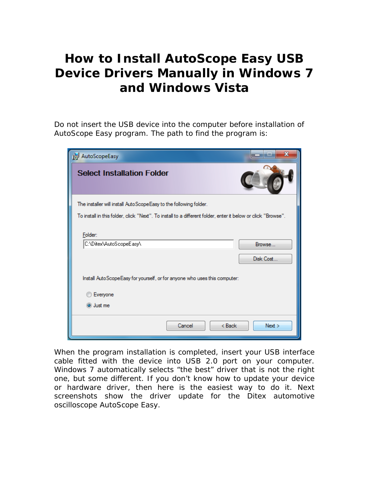## **How to Install AutoScope Easy USB Device Drivers Manually in Windows 7 and Windows Vista**

Do not insert the USB device into the computer before installation of AutoScope Easy program. The path to find the program is:

| X<br>AutoScopeEasy                                                                                           |  |  |  |
|--------------------------------------------------------------------------------------------------------------|--|--|--|
| <b>Select Installation Folder</b>                                                                            |  |  |  |
| The installer will install AutoScopeEasy to the following folder.                                            |  |  |  |
| To install in this folder, click "Next". To install to a different folder, enter it below or click "Browse". |  |  |  |
| Folder:                                                                                                      |  |  |  |
| C:\Ditex\AutoScopeEasy\<br>Browse                                                                            |  |  |  |
| Disk Cost                                                                                                    |  |  |  |
| Install AutoScopeEasy for yourself, or for anyone who uses this computer:                                    |  |  |  |
| Everyone                                                                                                     |  |  |  |
| O Just me                                                                                                    |  |  |  |
| Cancel<br>$Back$<br>Next                                                                                     |  |  |  |

When the program installation is completed, insert your USB interface cable fitted with the device into USB 2.0 port on your computer. Windows 7 automatically selects "the best" driver that is not the right one, but some different. If you don't know how to update your device or hardware driver, then here is the easiest way to do it. Next screenshots show the driver update for the Ditex automotive oscilloscope AutoScope Easy.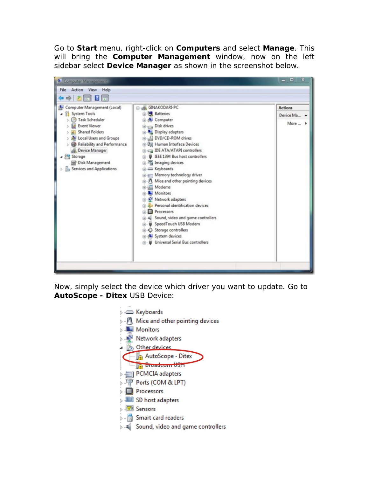Go to **Start** menu, right-click on **Computers** and select **Manage**. This will bring the **Computer Management** window, now on the left sidebar select **Device Manager** as shown in the screenshot below.



Now, simply select the device which driver you want to update. Go to **AutoScope - Ditex** USB Device:

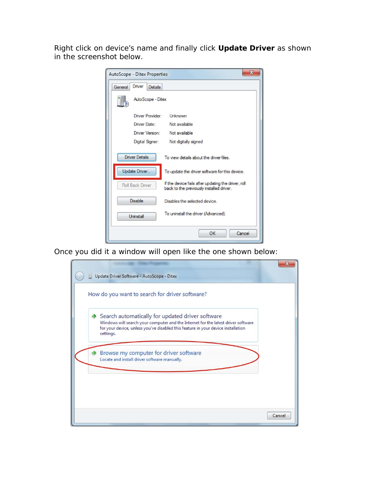Right click on device's name and finally click **Update Driver** as shown in the screenshot below.

| AutoScope - Ditex Properties | $\mathbf{x}$                                                                                    |
|------------------------------|-------------------------------------------------------------------------------------------------|
| Driver<br>General<br>Details |                                                                                                 |
| Auto Scope - Ditex           |                                                                                                 |
| Driver Provider:             | Unknown                                                                                         |
| Driver Date:                 | Not available                                                                                   |
| Driver Version:              | Not available                                                                                   |
| Digital Signer:              | Not digitally signed                                                                            |
| <b>Driver Details</b>        | To view details about the driver files                                                          |
| Update Driver.               | To update the driver software for this device.                                                  |
| Roll Back Driver             | If the device fails after updating the driver, roll<br>back to the previously installed driver. |
| <b>Disable</b>               | Disables the selected device                                                                    |
| Uninstall                    | To uninstall the driver (Advanced).                                                             |
|                              | OK<br>Cancel                                                                                    |

Once you did it a window will open like the one shown below:

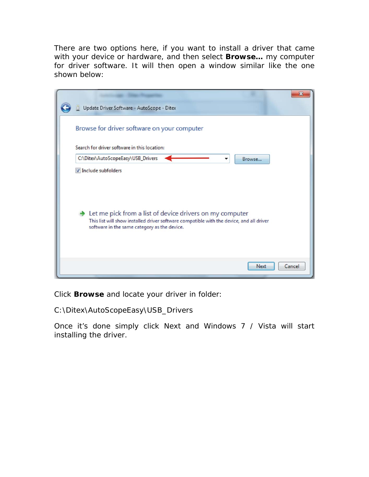There are two options here, if you want to install a driver that came with your device or hardware, and then select **Browse…** my computer for driver software. It will then open a window similar like the one shown below:

| Update Driver Software - AutoScope - Ditex                                                                                                                                                           |        |
|------------------------------------------------------------------------------------------------------------------------------------------------------------------------------------------------------|--------|
| Browse for driver software on your computer                                                                                                                                                          |        |
| Search for driver software in this location:                                                                                                                                                         |        |
| C:\Ditex\AutoScopeEasy\USB_Drivers<br>Browse                                                                                                                                                         |        |
| Include subfolders                                                                                                                                                                                   |        |
| Let me pick from a list of device drivers on my computer<br>This list will show installed driver software compatible with the device, and all driver<br>software in the same category as the device. |        |
| <b>Next</b>                                                                                                                                                                                          | Cancel |

Click **Browse** and locate your driver in folder:

C:\Ditex\AutoScopeEasy\USB\_Drivers

Once it's done simply click Next and Windows 7 / Vista will start installing the driver.